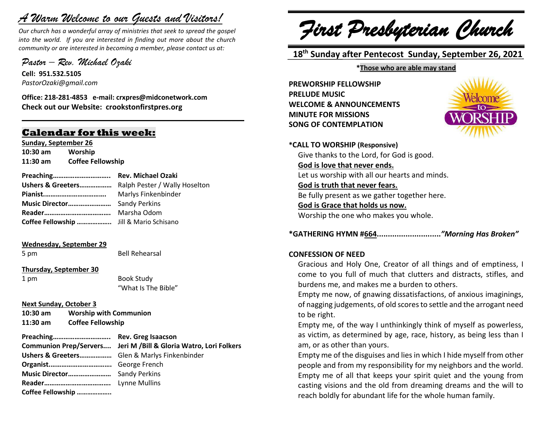# *A Warm Welcome to our Guests and Visitors!*

*Our church has a wonderful array of ministries that seek to spread the gospel into the world. If you are interested in finding out more about the church community or are interested in becoming a member, please contact us at:*

**\_\_\_\_\_\_\_\_\_\_\_\_\_\_\_\_\_\_\_\_\_\_\_\_\_\_\_\_\_\_\_\_\_\_\_\_\_\_\_\_\_\_\_\_\_\_\_\_\_\_\_\_\_\_**

*Pastor – Rev. Michael Ozaki* 

**Cell: 951.532.5105** *PastorOzaki@gmail.com*

**Office: 218-281-4853 e-mail: crxpres@midconetwork.com Check out our Website: crookstonfirstpres.org**

# **Calendar for this week:**

**Sunday, September 26 10:30 am Worship 11:30 am Coffee Fellowship**

**Preaching………………………….. Rev. Michael Ozaki Ushers & Greeters………………** Ralph Pester / Wally Hoselton **Pianist.…………………………….** Marlys Finkenbinder **Music Director……………………** Sandy Perkins **Reader……………………………….** Marsha Odom **Coffee Fellowship ………………..** Jill & Mario Schisano

#### **Wednesday, September 29**

5 pm Bell Rehearsal

#### **Thursday, September 30**

1 pm Book Study "What Is The Bible"

#### **Next Sunday, October 3**

**10:30 am Worship with Communion 11:30 am Coffee Fellowship**

**Preaching………………………….. Rev. Greg Isaacson Communion Prep/Servers.... Jeri M /Bill & Gloria Watro, Lori Folkers Ushers & Greeters………………** Glen & Marlys Finkenbinder **Organist.…………………………….** George French **Music Director……………………** Sandy Perkins **Reader……………………………….** Lynne Mullins **Coffee Fellowship ………………..**

*First Presbyterian Church*

 **18 th Sunday after Pentecost Sunday, September 26, 2021**

#### **\*Those who are able may stand**

**PREWORSHIP FELLOWSHIP PRELUDE MUSIC WELCOME & ANNOUNCEMENTS MINUTE FOR MISSIONS SONG OF CONTEMPLATION**



**\*CALL TO WORSHIP (Responsive)** Give thanks to the Lord, for God is good. **God is love that never ends.** Let us worship with all our hearts and minds. **God is truth that never fears.** Be fully present as we gather together here. **God is Grace that holds us now.** Worship the one who makes you whole.

**\*GATHERING HYMN #664.............................***"Morning Has Broken"*

#### **CONFESSION OF NEED**

Gracious and Holy One, Creator of all things and of emptiness, I come to you full of much that clutters and distracts, stifles, and burdens me, and makes me a burden to others.

Empty me now, of gnawing dissatisfactions, of anxious imaginings, of nagging judgements, of old scores to settle and the arrogant need to be right.

Empty me, of the way I unthinkingly think of myself as powerless, as victim, as determined by age, race, history, as being less than I am, or as other than yours.

Empty me of the disguises and lies in which I hide myself from other people and from my responsibility for my neighbors and the world. Empty me of all that keeps your spirit quiet and the young from casting visions and the old from dreaming dreams and the will to reach boldly for abundant life for the whole human family.